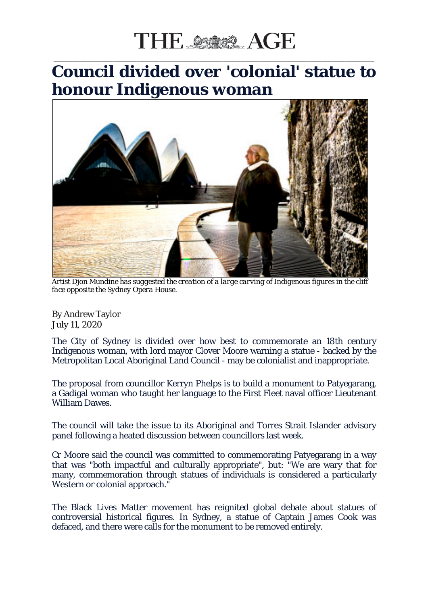## THE SSIDER AGE

## **Council divided over 'colonial' statue to honour Indigenous woman**

\_\_\_\_\_\_\_\_\_\_\_\_\_\_\_\_\_\_\_\_\_\_\_\_\_\_\_\_\_\_\_\_\_\_\_\_\_\_\_\_\_\_\_\_\_\_\_\_\_\_\_\_\_\_\_\_\_\_\_\_\_\_\_\_\_\_\_\_\_\_\_\_\_\_\_\_\_\_\_\_\_\_\_\_\_\_\_\_\_\_\_\_\_\_\_\_\_\_\_\_\_\_\_\_\_\_\_\_\_\_\_\_



*Artist Djon Mundine has suggested the creation of a large carving of Indigenous figures in the cliff face opposite the Sydney Opera House.*

By Andrew Taylor July 11, 2020

The City of Sydney is divided over how best to commemorate an 18th century Indigenous woman, with lord mayor Clover Moore warning a statue - backed by the Metropolitan Local Aboriginal Land Council - may be colonialist and inappropriate.

The proposal from councillor Kerryn Phelps is to build a monument to Patyegarang, a Gadigal woman who taught her language to the First Fleet naval officer Lieutenant William Dawes.

The council will take the issue to its Aboriginal and Torres Strait Islander advisory panel following a heated discussion between councillors last week.

Cr Moore said the council was committed to commemorating Patyegarang in a way that was "both impactful and culturally appropriate", but: "We are wary that for many, commemoration through statues of individuals is considered a particularly Western or colonial approach."

The Black Lives Matter movement has reignited global debate about statues of controversial historical figures. In Sydney, a statue of Captain James Cook was defaced, and there were calls for the monument to be removed entirely.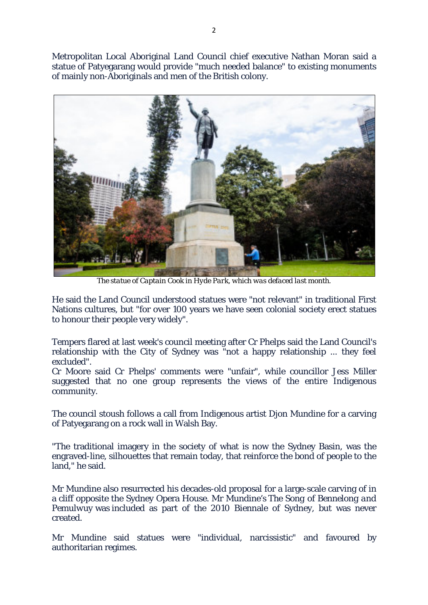Metropolitan Local Aboriginal Land Council chief executive Nathan Moran said a statue of Patyegarang would provide "much needed balance" to existing monuments of mainly non-Aboriginals and men of the British colony.



*The statue of Captain Cook in Hyde Park, which was defaced last month.*

He said the Land Council understood statues were "not relevant" in traditional First Nations cultures, but "for over 100 years we have seen colonial society erect statues to honour their people very widely".

Tempers flared at last week's council meeting after Cr Phelps said the Land Council's relationship with the City of Sydney was "not a happy relationship ... they feel excluded".

Cr Moore said Cr Phelps' comments were "unfair", while councillor Jess Miller suggested that no one group represents the views of the entire Indigenous community.

The council stoush follows a call from Indigenous artist Djon Mundine for a carving of Patyegarang on a rock wall in Walsh Bay.

"The traditional imagery in the society of what is now the Sydney Basin, was the engraved-line, silhouettes that remain today, that reinforce the bond of people to the land," he said.

Mr Mundine also resurrected his decades-old proposal for a large-scale carving of in a cliff opposite the Sydney Opera House. Mr Mundine's *The Song of Bennelong and Pemulwuy* was included as part of the 2010 Biennale of Sydney, but was never created.

Mr Mundine said statues were "individual, narcissistic" and favoured by authoritarian regimes.